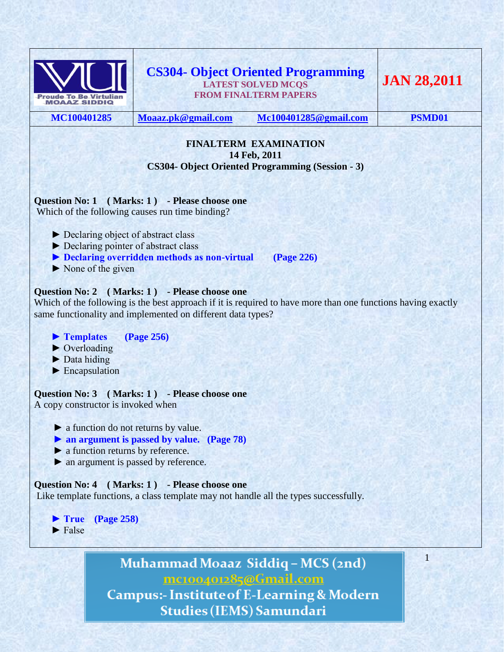

# **CS304- Object Oriented Programming LATEST SOLVED MCQS FROM FINALTERM PAPERS**

**JAN 28,2011**

**MC100401285 [Moaaz.pk@gmail.com](mailto:Moaaz.pk@gmail.com) [Mc100401285@gmail.com](mailto:Mc100401285@gmail.com) PSMD01**

1

#### **FINALTERM EXAMINATION 14 Feb, 2011 CS304- Object Oriented Programming (Session - 3)**

# **Question No: 1 ( Marks: 1 ) - Please choose one**

Which of the following causes run time binding?

- ► Declaring object of abstract class
- ► Declaring pointer of abstract class
- ▶ Declaring overridden methods as non-virtual (Page 226)
- $\triangleright$  None of the given

# **Question No: 2 ( Marks: 1 ) - Please choose one**

Which of the following is the best approach if it is required to have more than one functions having exactly same functionality and implemented on different data types?

- **► Templates (Page 256)**
- ► Overloading
- ► Data hiding
- ► Encapsulation

**Question No: 3 ( Marks: 1 ) - Please choose one** A copy constructor is invoked when

- ► a function do not returns by value.
- **► an argument is passed by value. (Page 78)**
- ► a function returns by reference.
- ► an argument is passed by reference.

# **Question No: 4 ( Marks: 1 ) - Please choose one**

Like template functions, a class template may not handle all the types successfully.

 **► True (Page 258)**  $\blacktriangleright$  False

> Muhammad Moaaz Siddiq - MCS (2nd) mc100401285@Gmail.com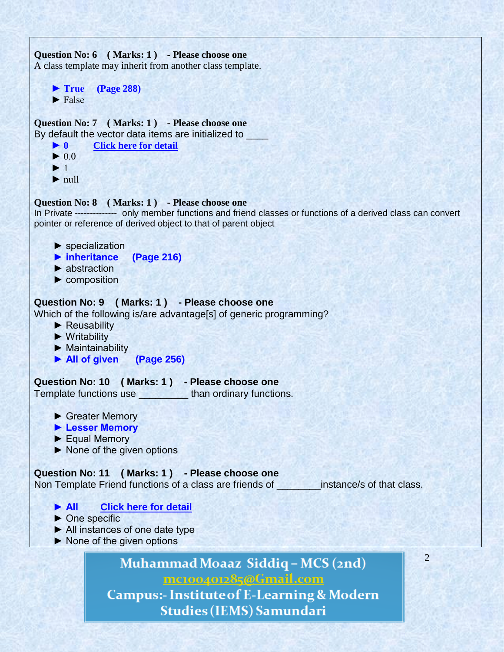

**Campus:- Institute of E-Learning & Modern Studies (IEMS) Samundari**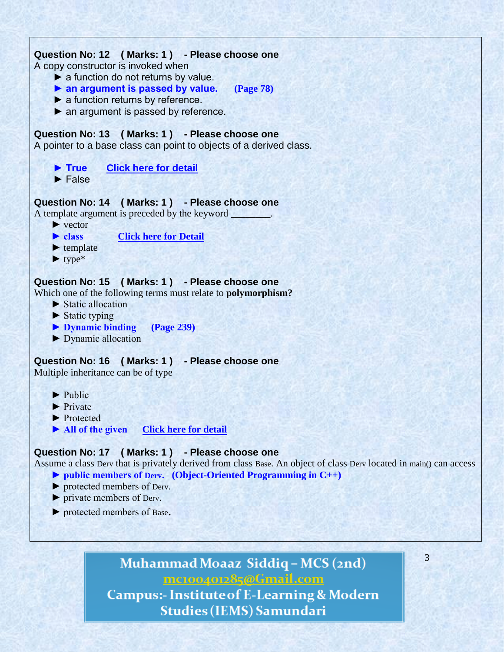

► protected members of Base.

# Muhammad Moaaz Siddiq - MCS (2nd) mc100401285@Gmail.com

3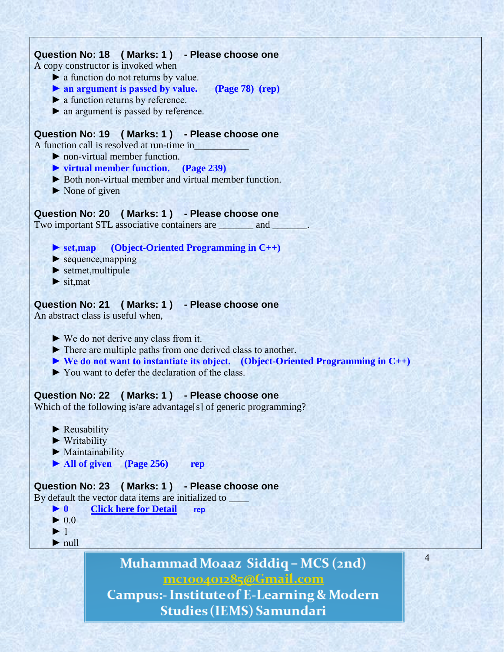# **Question No: 18 ( Marks: 1 ) - Please choose one**

A copy constructor is invoked when

- ► a function do not returns by value.
- **► an argument is passed by value. (Page 78) (rep)**
- ► a function returns by reference.
- ► an argument is passed by reference.

## **Question No: 19 ( Marks: 1 ) - Please choose one**

A function call is resolved at run-time in\_\_\_\_\_\_\_\_\_\_\_

- $\blacktriangleright$  non-virtual member function.
- **► virtual member function. (Page 239)**
- ► Both non-virtual member and virtual member function.
- $\triangleright$  None of given

### **Question No: 20 ( Marks: 1 ) - Please choose one**

Two important STL associative containers are \_\_\_\_\_\_\_\_ and \_

### **► set,map (Object-Oriented Programming in C++)**

- $\blacktriangleright$  sequence, mapping
- ► setmet,multipule
- $\blacktriangleright$  sit, mat

### **Question No: 21 ( Marks: 1 ) - Please choose one**

An abstract class is useful when,

- ► We do not derive any class from it.
- ► There are multiple paths from one derived class to another.
- **► We do not want to instantiate its object. (Object-Oriented Programming in C++)**
- ► You want to defer the declaration of the class.

# **Question No: 22 ( Marks: 1 ) - Please choose one**

Which of the following is/are advantage[s] of generic programming?

- ► Reusability
- ► Writability
- ► Maintainability
- **► All of given (Page 256) rep**

# **Question No: 23 ( Marks: 1 ) - Please choose one**

By default the vector data items are initialized to



- $\blacktriangleright$  1
- ► null

Muhammad Moaaz Siddiq - MCS (2nd) mc100401285@Gmail.com

**Campus:- Institute of E-Learning & Modern Studies (IEMS) Samundari**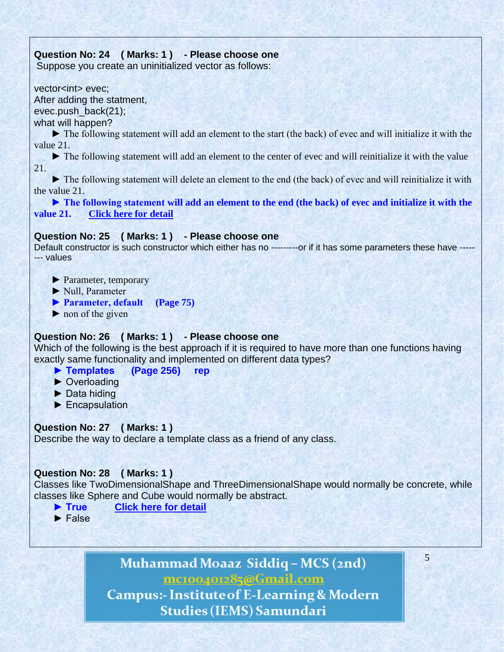# **Question No: 24 ( Marks: 1 ) - Please choose one**

Suppose you create an uninitialized vector as follows:

vector<int> evec: After adding the statment,

evec.push\_back(21);

what will happen?

 ► The following statement will add an element to the start (the back) of evec and will initialize it with the value 21.

 ► The following statement will add an element to the center of evec and will reinitialize it with the value 21.

 ► The following statement will delete an element to the end (the back) of evec and will reinitialize it with the value 21.

 **► The following statement will add an element to the end (the back) of evec and initialize it with the value 21. [Click here for detail](http://www.dcs.bbk.ac.uk/~roger/cpp/week6.htm)**

# **Question No: 25 ( Marks: 1 ) - Please choose one**

Default constructor is such constructor which either has no ----------or if it has some parameters these have -------- values

► Parameter, temporary

► Null, Parameter

**► Parameter, default (Page 75)**

 $\triangleright$  non of the given

# **Question No: 26 ( Marks: 1 ) - Please choose one**

Which of the following is the best approach if it is required to have more than one functions having exactly same functionality and implemented on different data types?

- **► Templates (Page 256) rep**
- ► Overloading
- ► Data hiding
- ► Encapsulation

# **Question No: 27 ( Marks: 1 )**

Describe the way to declare a template class as a friend of any class.

# **Question No: 28 ( Marks: 1 )**

Classes like TwoDimensionalShape and ThreeDimensionalShape would normally be concrete, while classes like Sphere and Cube would normally be abstract.

5

- **► True [Click here for detail](http://www.csharpfriends.com/Articles/getArticle.aspx?articleID=72)**
- ► False

Muhammad Moaaz Siddiq - MCS (2nd) mc100401285@Gmail.com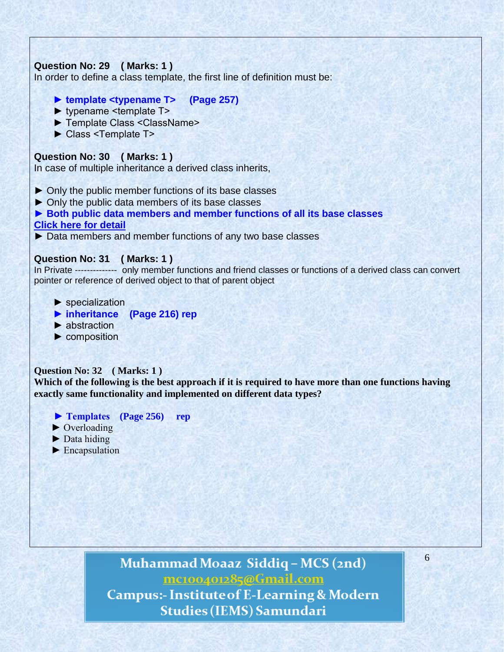# **Question No: 29 ( Marks: 1 )**

In order to define a class template, the first line of definition must be:

- **► template <typename T> (Page 257)**
- ► typename <template T>
- ► Template Class <ClassName>
- ► Class <Template T>

# **Question No: 30 ( Marks: 1 )**

In case of multiple inheritance a derived class inherits,

- ► Only the public member functions of its base classes
- ► Only the public data members of its base classes
- **► Both public data members and member functions of all its base classes [Click here for detail](http://publib.boulder.ibm.com/infocenter/comphelp/v8v101/index.jsp?topic=/com.ibm.xlcpp8a.doc/language/ref/inher.htm)**
- ► Data members and member functions of any two base classes

#### **Question No: 31 ( Marks: 1 )**

In Private -------------- only member functions and friend classes or functions of a derived class can convert pointer or reference of derived object to that of parent object

- ► specialization
- **► inheritance (Page 216) rep**
- ► abstraction
- $\blacktriangleright$  composition

#### **Question No: 32 ( Marks: 1 )**

**Which of the following is the best approach if it is required to have more than one functions having exactly same functionality and implemented on different data types?**

- **► Templates (Page 256) rep**
- ► Overloading
- ► Data hiding
- ► Encapsulation

Muhammad Moaaz Siddiq - MCS (2nd) mc100401285@Gmail.com **Campus:- Institute of E-Learning & Modern Studies (IEMS) Samundari**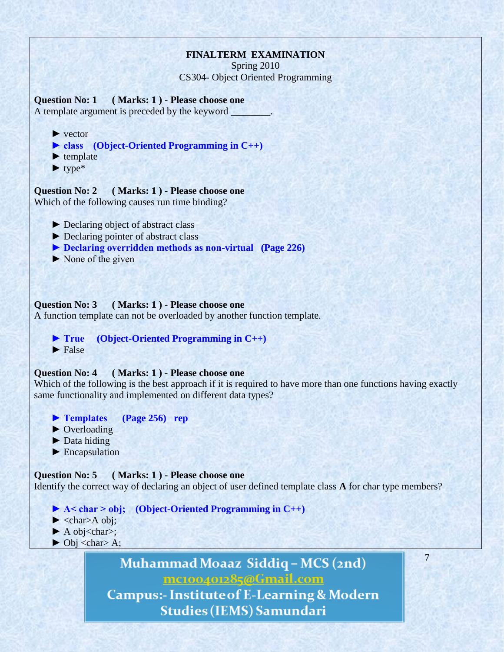# **FINALTERM EXAMINATION**

Spring 2010 CS304- Object Oriented Programming

**Question No: 1 ( Marks: 1 ) - Please choose one** A template argument is preceded by the keyword

- **►** vector
- **► class (Object-Oriented Programming in C++)**
- ▶ template
- **►** type\*

**Question No: 2 ( Marks: 1 ) - Please choose one** Which of the following causes run time binding?

- **►** Declaring object of abstract class
- ► Declaring pointer of abstract class
- **► Declaring overridden methods as non-virtual (Page 226)**
- ► None of the given

#### **Question No: 3 ( Marks: 1 ) - Please choose one**

A function template can not be overloaded by another function template.

 **► True (Object-Oriented Programming in C++)** ▶ False

#### **Question No: 4 ( Marks: 1 ) - Please choose one**

Which of the following is the best approach if it is required to have more than one functions having exactly same functionality and implemented on different data types?

- **► Templates (Page 256) rep**
- ▶ Overloading
- ▶ Data hiding
- ▶ Encapsulation

#### **Question No: 5 ( Marks: 1 ) - Please choose one**

Identify the correct way of declaring an object of user defined template class **A** for char type members?

- **► A< char > obj; (Object-Oriented Programming in C++)**
- $\blacktriangleright$  <char>A obj;
- ▶ A obj<char>;
- $\triangleright$  Obj <char> A;

Muhammad Moaaz Siddiq - MCS (2nd) mc100401285@Gmail.com **Campus:- Institute of E-Learning & Modern**  7

**Studies (IEMS) Samundari**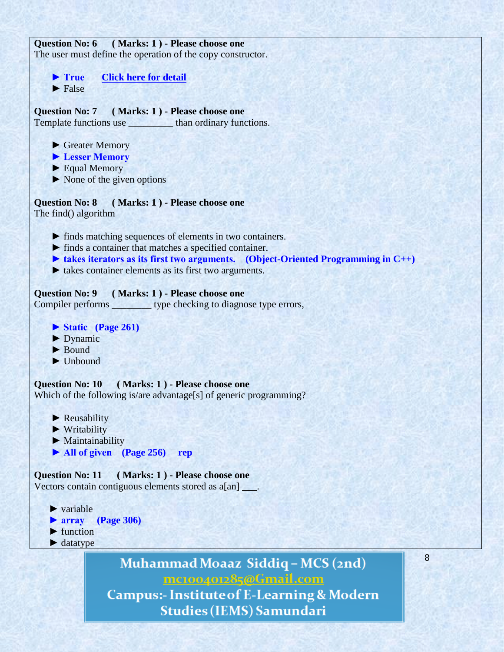| Question No: 6 (Marks: 1) - Please choose one                                                          |
|--------------------------------------------------------------------------------------------------------|
| The user must define the operation of the copy constructor.                                            |
|                                                                                                        |
| <b>Click here for detail</b><br>$\blacktriangleright$ True                                             |
| $\blacktriangleright$ False                                                                            |
|                                                                                                        |
|                                                                                                        |
| Question No: 7 (Marks: 1) - Please choose one                                                          |
| Template functions use ____________ than ordinary functions.                                           |
|                                                                                                        |
| Greater Memory                                                                                         |
| <b>Example 1</b> Lesser Memory                                                                         |
| $\blacktriangleright$ Equal Memory                                                                     |
| $\triangleright$ None of the given options                                                             |
|                                                                                                        |
| Question No: 8 (Marks: 1) - Please choose one                                                          |
| The find() algorithm                                                                                   |
|                                                                                                        |
| lacktriangleright finds matching sequences of elements in two containers.                              |
| $\triangleright$ finds a container that matches a specified container.                                 |
| $\blacktriangleright$ takes iterators as its first two arguments. (Object-Oriented Programming in C++) |
| takes container elements as its first two arguments.                                                   |
|                                                                                                        |
| Question No: 9 (Marks: 1) - Please choose one                                                          |
| Compiler performs __________ type checking to diagnose type errors,                                    |
|                                                                                                        |
| Static (Page 261)                                                                                      |
| $\blacktriangleright$ Dynamic                                                                          |
|                                                                                                        |
| $\blacktriangleright$ Bound                                                                            |
| $\blacktriangleright$ Unbound                                                                          |
|                                                                                                        |
| Question No: 10 (Marks: 1) - Please choose one                                                         |
| Which of the following is/are advantage[s] of generic programming?                                     |
|                                                                                                        |
| $\blacktriangleright$ Reusability                                                                      |
| $\blacktriangleright$ Writability                                                                      |
| $\blacktriangleright$ Maintainability                                                                  |
| $\blacktriangleright$ All of given (Page 256)<br>rep                                                   |
|                                                                                                        |
| (Marks: 1) - Please choose one<br><b>Question No: 11</b>                                               |
| Vectors contain contiguous elements stored as a[an].                                                   |
|                                                                                                        |
| $\blacktriangleright$ variable                                                                         |
| $\blacktriangleright$ array<br><b>(Page 306)</b>                                                       |
| $\blacktriangleright$ function                                                                         |
| $\blacktriangleright$ datatype                                                                         |
|                                                                                                        |
| 8                                                                                                      |

Muhammad Moaaz Siddiq - MCS (2nd) mc100401285@Gmail.com **Campus:- Institute of E-Learning & Modern** 

Studies (IEMS) Samundari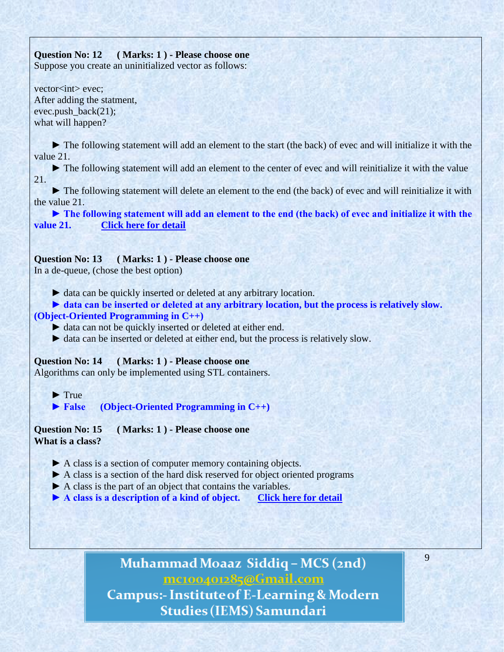# **Question No: 12 ( Marks: 1 ) - Please choose one**

Suppose you create an uninitialized vector as follows:

vector<int> evec; After adding the statment, evec.push\_back(21); what will happen?

**►** The following statement will add an element to the start (the back) of evec and will initialize it with the value 21.

**►** The following statement will add an element to the center of evec and will reinitialize it with the value 21.

**►** The following statement will delete an element to the end (the back) of evec and will reinitialize it with the value 21.

 **► The following statement will add an element to the end (the back) of evec and initialize it with the value 21. [Click here for detail](http://www.dcs.bbk.ac.uk/~roger/cpp/week6.htm)**

# **Question No: 13 ( Marks: 1 ) - Please choose one**

In a de-queue, (chose the best option)

► data can be quickly inserted or deleted at any arbitrary location.

► data can be inserted or deleted at any arbitrary location, but the process is relatively slow. **(Object-Oriented Programming in C++)**

► data can not be quickly inserted or deleted at either end.

► data can be inserted or deleted at either end, but the process is relatively slow.

**Question No: 14 ( Marks: 1 ) - Please choose one** Algorithms can only be implemented using STL containers.

 **►** True

 **► False (Object-Oriented Programming in C++)**

**Question No: 15 ( Marks: 1 ) - Please choose one What is a class?**

- **►** A class is a section of computer memory containing objects.
- **►** A class is a section of the hard disk reserved for object oriented programs
- ▶ A class is the part of an object that contains the variables.
- **► A class is a description of a kind of object. [Click here for detail](http://www.cs.iastate.edu/~honavar/JavaNotes/Notes/chap25/chap25quiz.html)**

Muhammad Moaaz Siddiq - MCS (2nd) mc100401285@Gmail.com **Campus:- Institute of E-Learning & Modern Studies (IEMS) Samundari**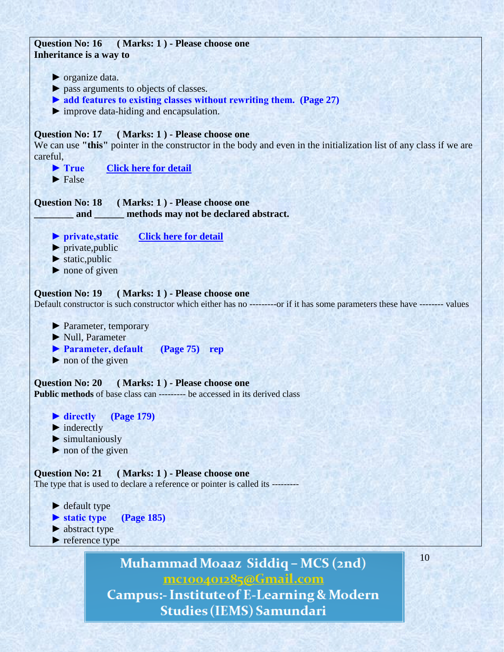

Muhammad Moaaz Siddiq - MCS (2nd) mc100401285@Gmail.com **Campus:- Institute of E-Learning & Modern** 

**Studies (IEMS) Samundari**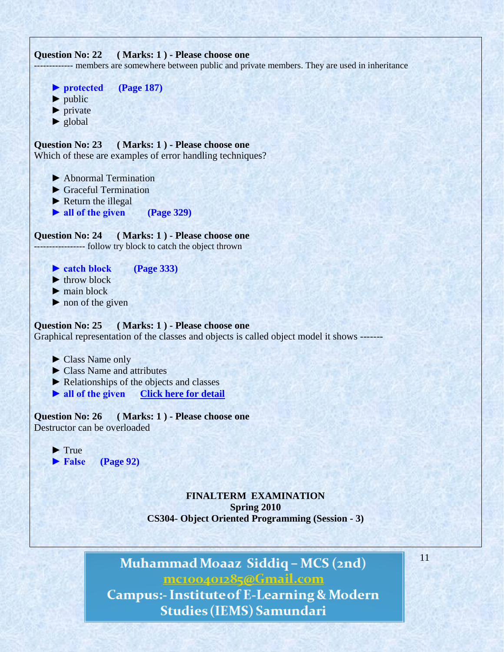

Muhammad Moaaz Siddiq - MCS (2nd) mc100401285@Gmail.com **Campus:- Institute of E-Learning & Modern Studies (IEMS) Samundari**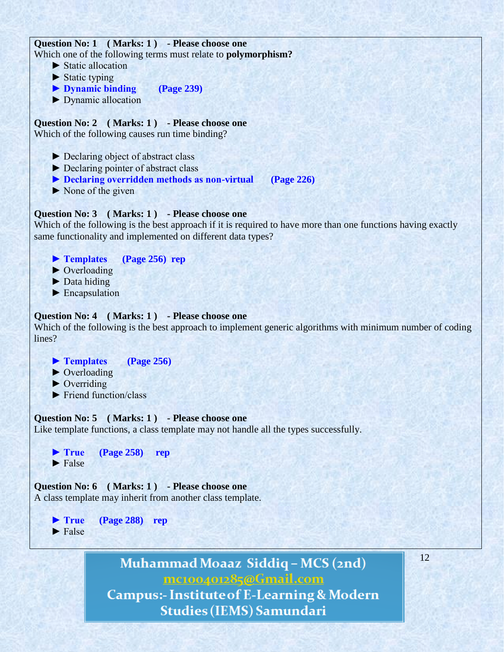# **Question No: 1 ( Marks: 1 ) - Please choose one** Which one of the following terms must relate to **polymorphism?**

- ► Static allocation
- $\blacktriangleright$  Static typing
- **► Dynamic binding (Page 239)**
- ► Dynamic allocation

**Question No: 2 ( Marks: 1 ) - Please choose one** Which of the following causes run time binding?

- ► Declaring object of abstract class
- ► Declaring pointer of abstract class
- **► Declaring overridden methods as non-virtual (Page 226)**
- $\triangleright$  None of the given

### **Question No: 3 ( Marks: 1 ) - Please choose one**

Which of the following is the best approach if it is required to have more than one functions having exactly same functionality and implemented on different data types?

- **► Templates (Page 256) rep**
- ► Overloading
- $\blacktriangleright$  Data hiding
- ► Encapsulation

### **Question No: 4 ( Marks: 1 ) - Please choose one**

Which of the following is the best approach to implement generic algorithms with minimum number of coding lines?

- **► Templates (Page 256)**
- ► Overloading
- $\triangleright$  Overriding
- $\blacktriangleright$  Friend function/class

#### **Question No: 5 ( Marks: 1 ) - Please choose one**

Like template functions, a class template may not handle all the types successfully.



# **Question No: 6 ( Marks: 1 ) - Please choose one**

A class template may inherit from another class template.

 **► True (Page 288) rep**  $\blacktriangleright$  False

> Muhammad Moaaz Siddiq - MCS (2nd) mc100401285@Gmail.com

12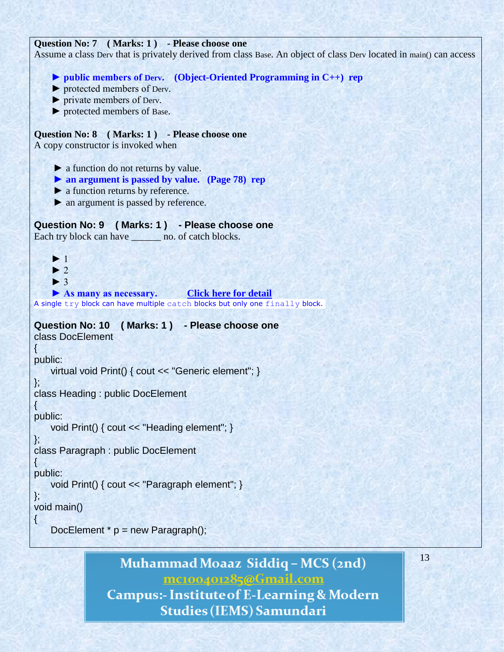# **Question No: 7 ( Marks: 1 ) - Please choose one**

Assume a class Derv that is privately derived from class Base. An object of class Derv located in main() can access

 **► public members of Derv. (Object-Oriented Programming in C++) rep**

- ► protected members of Derv.
- ► private members of Derv.
- ► protected members of Base.

# **Question No: 8 ( Marks: 1 ) - Please choose one**

A copy constructor is invoked when

- ► a function do not returns by value.
- **► an argument is passed by value. (Page 78) rep**
- ► a function returns by reference.
- ► an argument is passed by reference.

```
Question No: 9 ( Marks: 1 ) - Please choose one
```
Each try block can have  $\qquad$  no. of catch blocks.

```
\blacktriangleright 1
      \blacktriangleright 2
      \blacktriangleright 3
      ▶ As many as necessary. Click here for detail
A single try block can have multiple catch blocks but only one finally block.
```

```
Question No: 10 ( Marks: 1 ) - Please choose one
class DocElement
```
{ public:

```
 virtual void Print() { cout << "Generic element"; }
```
}; class Heading : public DocElement

 $\{$ public:

```
 void Print() { cout << "Heading element"; }
```
}; class Paragraph : public DocElement

```
\left\{ \right.public:
```

```
 void Print() { cout << "Paragraph element"; }
```

```
};
void main()
```

```
{
```
DocElement  $*$  p = new Paragraph();

# Muhammad Moaaz Siddiq - MCS (2nd) mc100401285@Gmail.com

**Campus:- Institute of E-Learning & Modern Studies (IEMS) Samundari**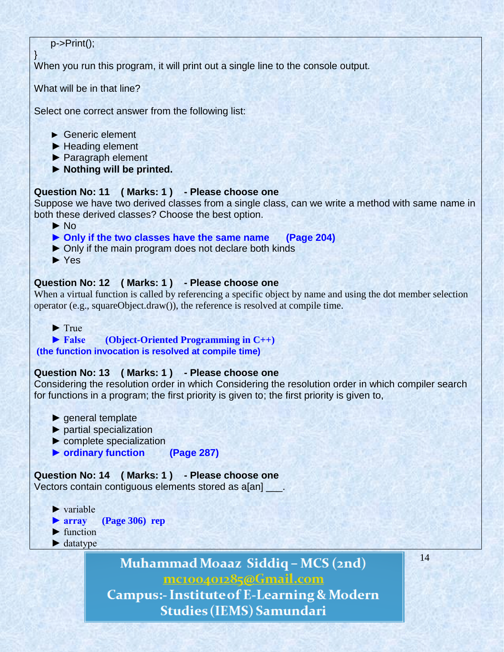# p->Print();

}

When you run this program, it will print out a single line to the console output.

What will be in that line?

Select one correct answer from the following list:

### ► Generic element

- ► Heading element
- ► Paragraph element
- **► Nothing will be printed.**

### **Question No: 11 ( Marks: 1 ) - Please choose one**

Suppose we have two derived classes from a single class, can we write a method with same name in both these derived classes? Choose the best option.

► No

 **► Only if the two classes have the same name (Page 204)**

- ► Only if the main program does not declare both kinds
- ► Yes

# **Question No: 12 ( Marks: 1 ) - Please choose one**

When a virtual function is called by referencing a specific object by name and using the dot member selection operator (e.g., squareObject.draw()), the reference is resolved at compile time.

## ► True

# **► False (Object-Oriented Programming in C++)**

# **(the function invocation is resolved at compile time)**

# **Question No: 13 ( Marks: 1 ) - Please choose one**

Considering the resolution order in which Considering the resolution order in which compiler search for functions in a program; the first priority is given to; the first priority is given to,

- ► general template
- ► partial specialization
- ► complete specialization
- **► ordinary function (Page 287)**

# **Question No: 14 ( Marks: 1 ) - Please choose one**

Vectors contain contiguous elements stored as a[an] \_\_\_.

- $\blacktriangleright$  variable
- **► array (Page 306) rep**
- ► function
- ► datatype

Muhammad Moaaz Siddiq - MCS (2nd) mc100401285@Gmail.com

**Campus:- Institute of E-Learning & Modern Studies (IEMS) Samundari**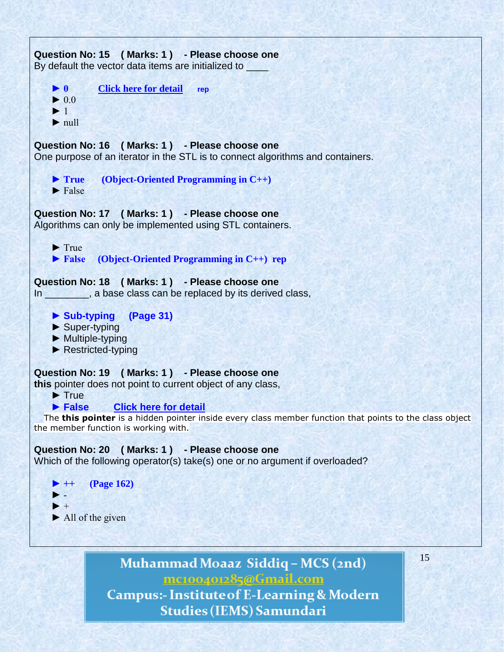

Muhammad Moaaz Siddiq - MCS (2nd) mc100401285@Gmail.com **Campus:- Institute of E-Learning & Modern Studies (IEMS) Samundari**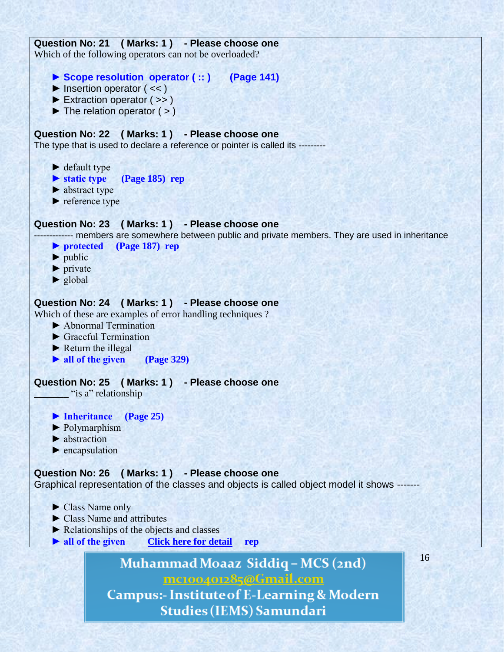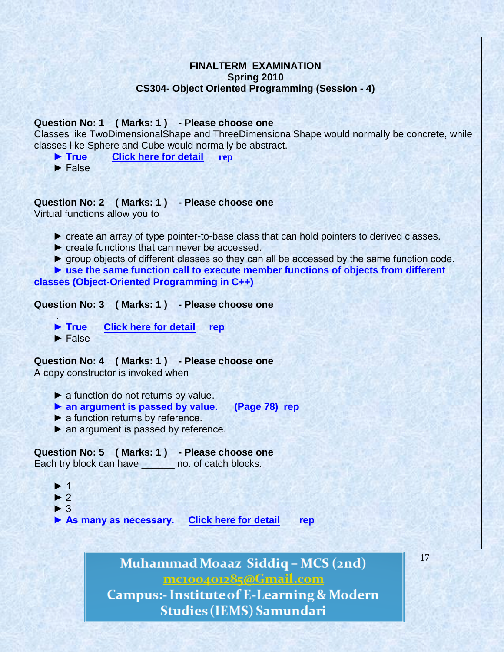**FINALTERM EXAMINATION Spring 2010 CS304- Object Oriented Programming (Session - 4) Question No: 1 ( Marks: 1 ) - Please choose one** Classes like TwoDimensionalShape and ThreeDimensionalShape would normally be concrete, while classes like Sphere and Cube would normally be abstract.  **► True [Click here for detail](http://www.csharpfriends.com/Articles/getArticle.aspx?articleID=72) rep** ► False **Question No: 2 ( Marks: 1 ) - Please choose one** Virtual functions allow you to ► create an array of type pointer-to-base class that can hold pointers to derived classes. ► create functions that can never be accessed. ► group objects of different classes so they can all be accessed by the same function code.  **► use the same function call to execute member functions of objects from different classes (Object-Oriented Programming in C++) Question No: 3 ( Marks: 1 ) - Please choose one** .  **► True [Click here for detail](http://bytes.com/topic/c/answers/136665-why-cant-derived-class-pointer-cant-point-base-class-object) rep** ► False **Question No: 4 ( Marks: 1 ) - Please choose one** A copy constructor is invoked when  $\blacktriangleright$  a function do not returns by value.  **► an argument is passed by value. (Page 78) rep** ▶ a function returns by reference. ► an argument is passed by reference. **Question No: 5 ( Marks: 1 ) - Please choose one** Each try block can have \_\_\_\_\_\_ no. of catch blocks. ► 1  $\blacktriangleright$  2 ► 3  **► As many as necessary. [Click here for detail](http://help.adobe.com/en_US/AS2LCR/Flash_10.0/help.html?content=00000724.html) rep**17 Muhammad Moaaz Siddiq - MCS (2nd) mc100401285@Gmail.com **Campus:- Institute of E-Learning & Modern** 

**Studies (IEMS) Samundari**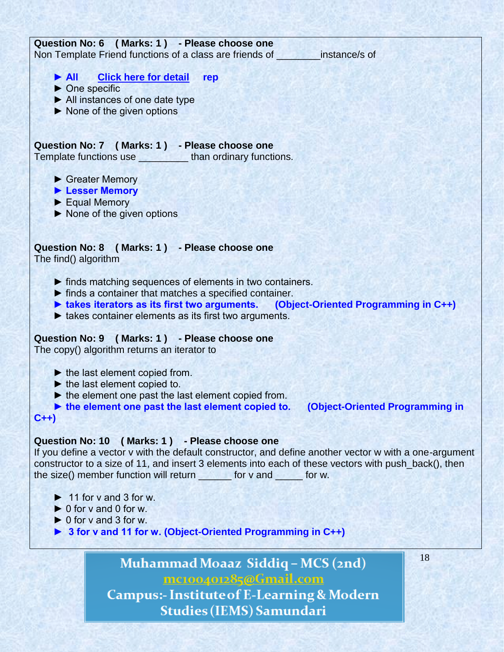

mc100401285@Gmail.com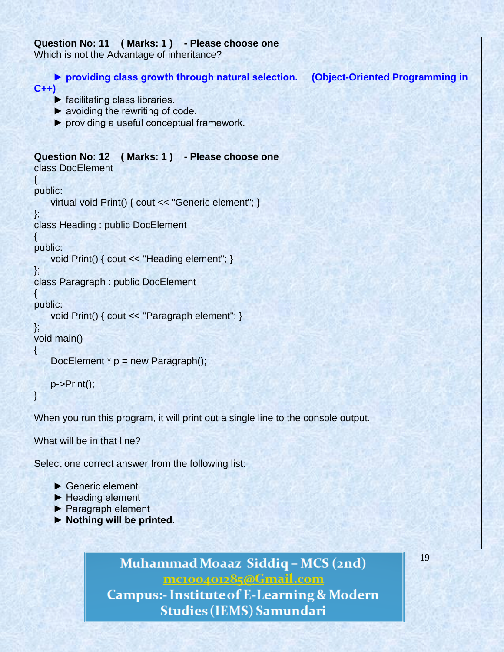```
Question No: 11 ( Marks: 1 ) - Please choose one
Which is not the Advantage of inheritance?
     ► providing class growth through natural selection. (Object-Oriented Programming in 
C++)
    \blacktriangleright facilitating class libraries.
    \blacktriangleright avoiding the rewriting of code.
     ► providing a useful conceptual framework. 
Question No: 12 ( Marks: 1 ) - Please choose one
class DocElement
\{public:
     virtual void Print() { cout << "Generic element"; }
};
class Heading : public DocElement
\left\{ \right.public:
     void Print() { cout << "Heading element"; }
};
class Paragraph : public DocElement
{
public:
     void Print() { cout << "Paragraph element"; }
};
void main()
{
    DocElement * p = new Paragraph();
     p->Print();
}
When you run this program, it will print out a single line to the console output.
What will be in that line? 
Select one correct answer from the following list:
      ► Generic element 
      ► Heading element
```
- ► Paragraph element
- **► Nothing will be printed.**

Muhammad Moaaz Siddiq - MCS (2nd) mc100401285@Gmail.com **Campus:- Institute of E-Learning & Modern Studies (IEMS) Samundari**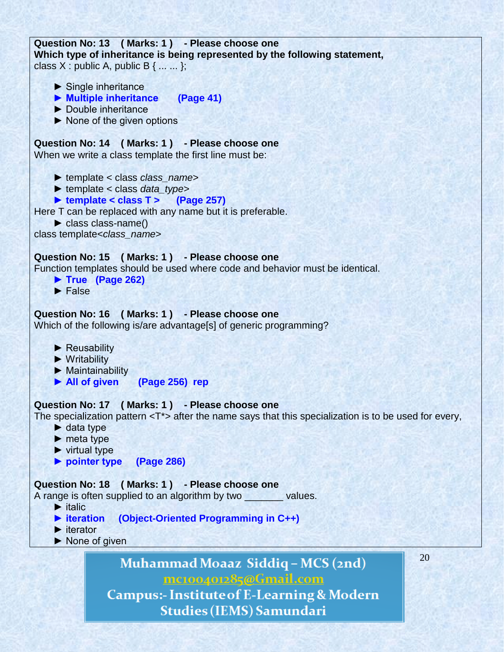```
Question No: 13 ( Marks: 1 ) - Please choose one
Which type of inheritance is being represented by the following statement,
class X : public A, public B { ... ... };
```
- ► Single inheritance
- **► Multiple inheritance (Page 41)**
- ► Double inheritance
- ► None of the given options

### **Question No: 14 ( Marks: 1 ) - Please choose one**

When we write a class template the first line must be:

- ► template < class *class\_name*>
- ► template < class *data\_type*>
- **► template < class T > (Page 257)**

Here T can be replaced with any name but it is preferable.

► class class-name()

class template<*class\_name*>

#### **Question No: 15 ( Marks: 1 ) - Please choose one**

Function templates should be used where code and behavior must be identical.

- **► True (Page 262)**
- ► False

#### **Question No: 16 ( Marks: 1 ) - Please choose one**

Which of the following is/are advantage[s] of generic programming?

- ► Reusability
- ► Writability
- ► Maintainability
- **► All of given (Page 256) rep**

#### **Question No: 17 ( Marks: 1 ) - Please choose one**

The specialization pattern  $(T^*$  after the name says that this specialization is to be used for every,

- $\blacktriangleright$  data type
- ► meta type
- $\blacktriangleright$  virtual type
- **► pointer type (Page 286)**

#### **Question No: 18 ( Marks: 1 ) - Please choose one**

A range is often supplied to an algorithm by two values.

- $\blacktriangleright$  italic
- **► iteration (Object-Oriented Programming in C++)**
- ► iterator
- ▶ None of given

Muhammad Moaaz Siddiq - MCS (2nd) mc100401285@Gmail.com

20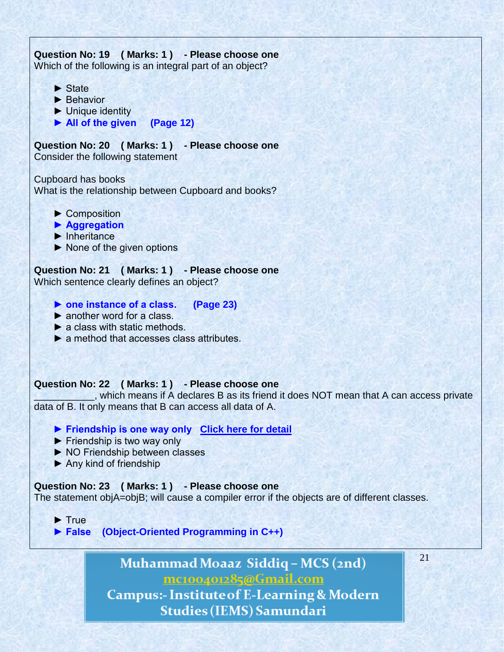# **Question No: 19 ( Marks: 1 ) - Please choose one** Which of the following is an integral part of an object? ► State ▶ Behavior ► Unique identity  **► All of the given (Page 12) Question No: 20 ( Marks: 1 ) - Please choose one** Consider the following statement Cupboard has books What is the relationship between Cupboard and books? ► Composition **► Aggregation**  ► Inheritance ► None of the given options **Question No: 21 ( Marks: 1 ) - Please choose one** Which sentence clearly defines an object?  **► one instance of a class. (Page 23)** ► another word for a class.  $\blacktriangleright$  a class with static methods. ▶ a method that accesses class attributes. **Question No: 22 ( Marks: 1 ) - Please choose one** \_\_\_\_\_\_\_\_\_\_\_, which means if A declares B as its friend it does NOT mean that A can access private data of B. It only means that B can access all data of A.  **► Friendship is one way only [Click here for detail](http://books.google.com.pk/books?id=DOGTAlgixLEC&pg=PA56&lpg=PA56&dq=which+means+if+A+declares+B+as+its+friend+it+does+NOT+mean+that+A+can+access+private+data+of+B.+It+only+means+that+B+can+access+all+data+of+A&source=bl&ots=KdpUDv72AE&sig=KgXm_dvsH-z8H1K)** ► Friendship is two way only ► NO Friendship between classes ► Any kind of friendship **Question No: 23 ( Marks: 1 ) - Please choose one** The statement objA=objB; will cause a compiler error if the objects are of different classes. ► True  **► False (Object-Oriented Programming in C++)** Muhammad Moaaz Siddiq - MCS (2nd) mc100401285@Gmail.com

21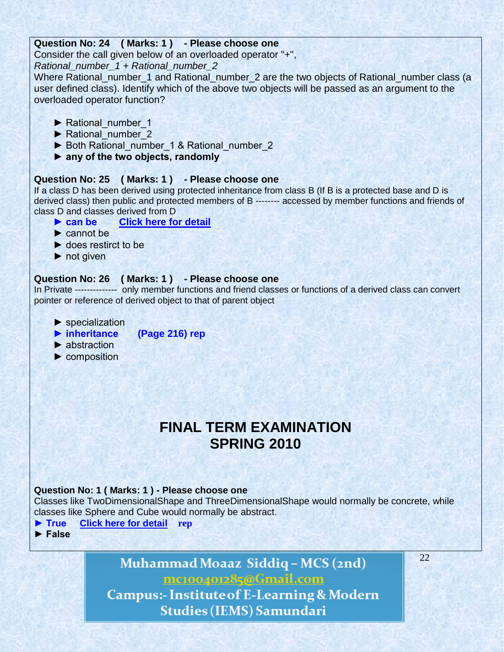## **Question No: 24 ( Marks: 1 ) - Please choose one**

Consider the call given below of an overloaded operator "+",

*Rational\_number\_1 + Rational\_number\_2*

Where Rational\_number\_1 and Rational\_number\_2 are the two objects of Rational\_number class (a user defined class). Identify which of the above two objects will be passed as an argument to the overloaded operator function?

- ▶ Rational\_number\_1
- ▶ Rational number 2
- ▶ Both Rational\_number\_1 & Rational\_number\_2
- **► any of the two objects, randomly**

# **Question No: 25 ( Marks: 1 ) - Please choose one**

If a class D has been derived using protected inheritance from class B (If B is a protected base and D is derived class) then public and protected members of B -------- accessed by member functions and friends of class D and classes derived from D

- **► can be [Click here for detail](http://publib.boulder.ibm.com/infocenter/lnxpcomp/v8v101/index.jsp?topic=/com.ibm.xlcpp8l.doc/language/ref/cplr129.htm)**
- ► cannot be
- ► does restirct to be
- ► not given

# **Question No: 26 ( Marks: 1 ) - Please choose one**

In Private -------------- only member functions and friend classes or functions of a derived class can convert pointer or reference of derived object to that of parent object

- ▶ specialization
- **► inheritance (Page 216) rep**
- ► abstraction
- ► composition

# **FINAL TERM EXAMINATION SPRING 2010**

# **Question No: 1 ( Marks: 1 ) - Please choose one**

Classes like TwoDimensionalShape and ThreeDimensionalShape would normally be concrete, while classes like Sphere and Cube would normally be abstract.

- **► True [Click here for detail](http://www.csharpfriends.com/Articles/getArticle.aspx?articleID=72) rep**
- **► False**

Muhammad Moaaz Siddiq - MCS (2nd) mc100401285@Gmail.com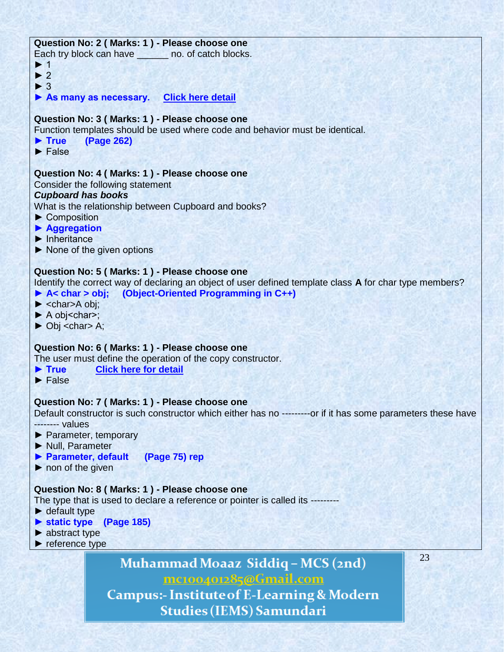## **Question No: 2 ( Marks: 1 ) - Please choose one**

Each try block can have **no.** of catch blocks.

- ► 1
- $\blacktriangleright$  2
- ► 3

**► As many as necessary. [Click here detail](http://help.adobe.com/en_US/AS2LCR/Flash_10.0/help.html?content=00000724.html)**

## **Question No: 3 ( Marks: 1 ) - Please choose one**

Function templates should be used where code and behavior must be identical.

- **► True (Page 262)**
- ► False

### **Question No: 4 ( Marks: 1 ) - Please choose one**

Consider the following statement

### *Cupboard has books*

What is the relationship between Cupboard and books?

- ► Composition
- **► Aggregation**
- ► Inheritance
- ► None of the given options

## **Question No: 5 ( Marks: 1 ) - Please choose one**

Identify the correct way of declaring an object of user defined template class **A** for char type members? **► A< char > obj; (Object-Oriented Programming in C++)**

- **►** <char>A obj;
- ► A obj<char>;
- **►** Obj <char> A;

#### **Question No: 6 ( Marks: 1 ) - Please choose one**

The user must define the operation of the copy constructor.

- **► True [Click here for detail](http://en.wikipedia.org/wiki/Copy_constructor)**
- **►** False

#### **Question No: 7 ( Marks: 1 ) - Please choose one**

Default constructor is such constructor which either has no ---------or if it has some parameters these have -------- values

- **►** Parameter, temporary
- **►** Null, Parameter
- **► Parameter, default (Page 75) rep**
- **►** non of the given

#### **Question No: 8 ( Marks: 1 ) - Please choose one**

The type that is used to declare a reference or pointer is called its ---------

- ► default type
- **► static type (Page 185)**
- ► abstract type
- **►** reference type

Muhammad Moaaz Siddiq - MCS (2nd) mc100401285@Gmail.com

**Campus:- Institute of E-Learning & Modern Studies (IEMS) Samundari**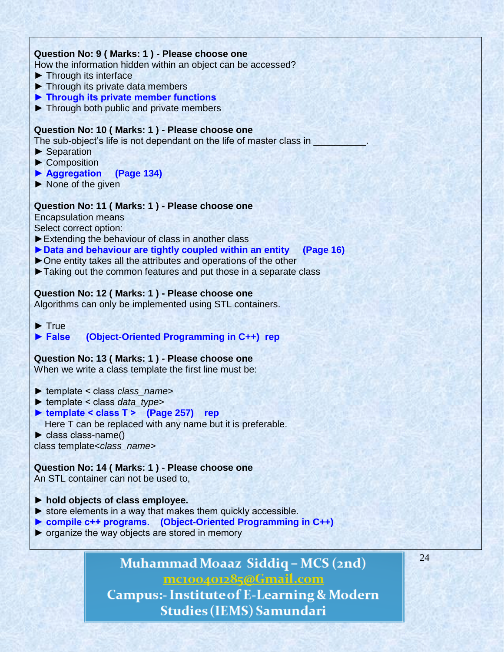#### **Question No: 9 ( Marks: 1 ) - Please choose one**

How the information hidden within an object can be accessed?

- **►** Through its interface
- **►** Through its private data members
- **► Through its private member functions**
- **►** Through both public and private members

#### **Question No: 10 ( Marks: 1 ) - Please choose one**

The sub-object's life is not dependant on the life of master class in

- **►** Separation
- ▶ Composition
- **► Aggregation (Page 134)**
- **►** None of the given

#### **Question No: 11 ( Marks: 1 ) - Please choose one**

Encapsulation means

Select correct option:

- **►**Extending the behaviour of class in another class
- **►Data and behaviour are tightly coupled within an entity (Page 16)**
- **►**One entity takes all the attributes and operations of the other
- **►**Taking out the common features and put those in a separate class

#### **Question No: 12 ( Marks: 1 ) - Please choose one**

Algorithms can only be implemented using STL containers.

#### **►** True

#### **► False (Object-Oriented Programming in C++) rep**

#### **Question No: 13 ( Marks: 1 ) - Please choose one**

When we write a class template the first line must be:

- ► template < class *class\_name*>
- ► template < class *data\_type*>
- **► template < class T > (Page 257) rep** Here T can be replaced with any name but it is preferable.
- ► class class-name()

class template<*class\_name*>

#### **Question No: 14 ( Marks: 1 ) - Please choose one**

An STL container can not be used to,

- **► hold objects of class employee.**
- $\triangleright$  store elements in a way that makes them quickly accessible.
- **► compile c++ programs. (Object-Oriented Programming in C++)**
- ► organize the way objects are stored in memory

# Muhammad Moaaz Siddiq - MCS (2nd) mc100401285@Gmail.com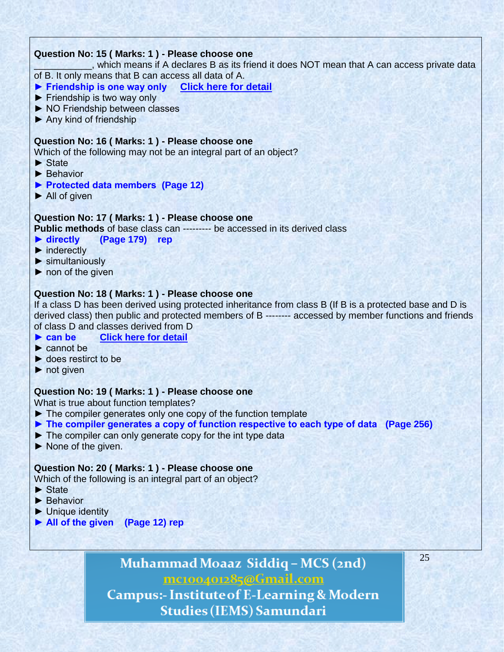# **Question No: 15 ( Marks: 1 ) - Please choose one**

\_\_\_\_\_\_\_\_\_\_\_, which means if A declares B as its friend it does NOT mean that A can access private data of B. It only means that B can access all data of A.

- **► Friendship is one way only [Click here for detail](http://books.google.com.pk/books?id=DOGTAlgixLEC&pg=PA56&lpg=PA56&dq=which+means+if+A+declares+B+as+its+friend+it+does+NOT+mean+that+A+can+access+private+data+of+B.+It+only+means+that+B+can+access+all+data+of+A&source=bl&ots=KdpUDv72AE&sig=KgXm_dvsH-z8H1K)**
- ► Friendship is two way only
- ► NO Friendship between classes
- $\blacktriangleright$  Any kind of friendship

#### **Question No: 16 ( Marks: 1 ) - Please choose one**

Which of the following may not be an integral part of an object?

- ► State
- ► Behavior
- **► Protected data members (Page 12)**
- ► All of given

#### **Question No: 17 ( Marks: 1 ) - Please choose one**

**Public methods** of base class can --------- be accessed in its derived class

- **► directly (Page 179) rep**
- ► inderectly
- ► simultaniously
- $\blacktriangleright$  non of the given

#### **Question No: 18 ( Marks: 1 ) - Please choose one**

If a class D has been derived using protected inheritance from class B (If B is a protected base and D is derived class) then public and protected members of B -------- accessed by member functions and friends of class D and classes derived from D

- **► can be [Click here for detail](http://publib.boulder.ibm.com/infocenter/lnxpcomp/v8v101/index.jsp?topic=/com.ibm.xlcpp8l.doc/language/ref/cplr129.htm)**
- ► cannot be
- ► does restirct to be
- ► not given

#### **Question No: 19 ( Marks: 1 ) - Please choose one**

What is true about function templates?

- ► The compiler generates only one copy of the function template
- **► The compiler generates a copy of function respective to each type of data (Page 256)**
- ► The compiler can only generate copy for the int type data
- ► None of the given.

#### **Question No: 20 ( Marks: 1 ) - Please choose one**

Which of the following is an integral part of an object?

- ► State
- ▶ Behavior
- ► Unique identity
- **► All of the given (Page 12) rep**

Muhammad Moaaz Siddiq - MCS (2nd) mc100401285@Gmail.com

**Campus:- Institute of E-Learning & Modern Studies (IEMS) Samundari**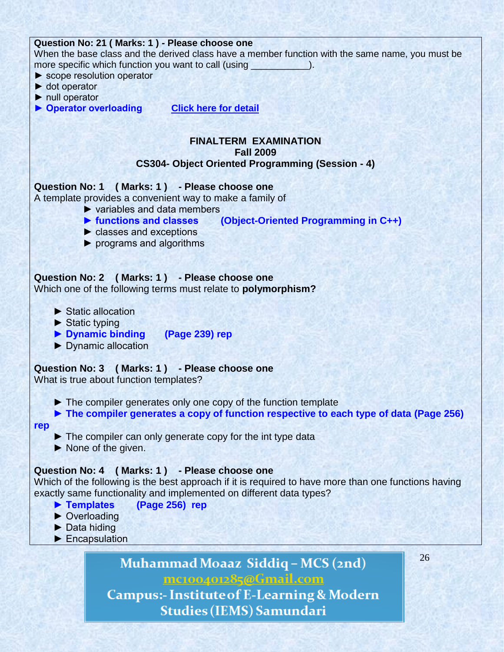| Question No: 21 (Marks: 1) - Please choose one                                                       |
|------------------------------------------------------------------------------------------------------|
| When the base class and the derived class have a member function with the same name, you must be     |
| more specific which function you want to call (using                                                 |
| $\triangleright$ scope resolution operator                                                           |
| $\blacktriangleright$ dot operator                                                                   |
| $\triangleright$ null operator                                                                       |
| ▶ Operator overloading<br><b>Click here for detail</b>                                               |
|                                                                                                      |
|                                                                                                      |
| <b>FINALTERM EXAMINATION</b>                                                                         |
| <b>Fall 2009</b>                                                                                     |
| <b>CS304- Object Oriented Programming (Session - 4)</b>                                              |
|                                                                                                      |
| Question No: 1 (Marks: 1) - Please choose one                                                        |
| A template provides a convenient way to make a family of                                             |
| $\triangleright$ variables and data members                                                          |
| ▶ functions and classes (Object-Oriented Programming in C++)                                         |
| $\triangleright$ classes and exceptions                                                              |
| $\triangleright$ programs and algorithms                                                             |
|                                                                                                      |
|                                                                                                      |
| Question No: 2 (Marks: 1) - Please choose one                                                        |
| Which one of the following terms must relate to polymorphism?                                        |
|                                                                                                      |
| $\blacktriangleright$ Static allocation                                                              |
| $\blacktriangleright$ Static typing                                                                  |
| Dynamic binding (Page 239) rep                                                                       |
| Dynamic allocation                                                                                   |
|                                                                                                      |
| Question No: 3 (Marks: 1) - Please choose one                                                        |
| What is true about function templates?                                                               |
|                                                                                                      |
| The compiler generates only one copy of the function template                                        |
| The compiler generates a copy of function respective to each type of data (Page 256)                 |
| rep                                                                                                  |
| $\blacktriangleright$ The compiler can only generate copy for the int type data                      |
| $\blacktriangleright$ None of the given.                                                             |
|                                                                                                      |
| Question No: 4 (Marks: 1) - Please choose one                                                        |
| Which of the following is the best approach if it is required to have more than one functions having |
| exactly same functionality and implemented on different data types?                                  |
| Templates<br>(Page 256) rep                                                                          |
| $\triangleright$ Overloading                                                                         |
| $\triangleright$ Data hiding                                                                         |
| Encapsulation                                                                                        |
|                                                                                                      |
| 26<br>$Muh$ <sub>1</sub> $M_{0227}$ Giddig $M_{021}$                                                 |

Muhammad Moaaz Siddiq – MCS (2nd)<br><u>mc100401285@Gmail.com</u> Campus:- Institute of E-Learning & Modern

Studies (IEMS) Samundari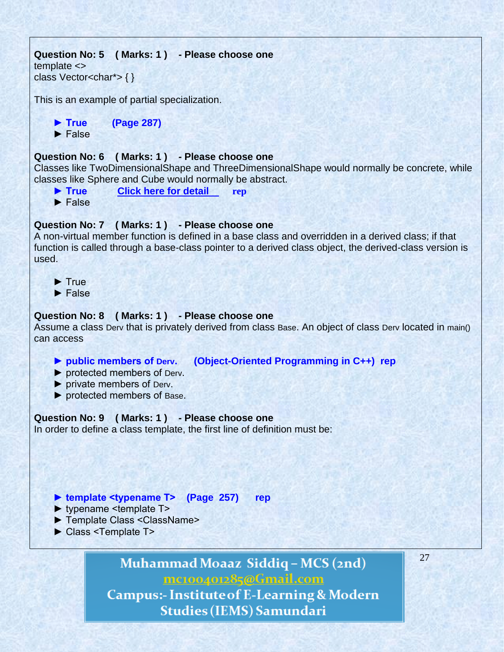```
Question No: 5 ( Marks: 1 ) - Please choose one
template <>
class Vector<char*>{}
```
This is an example of partial specialization.

 **► True (Page 287)**

► False

# **Question No: 6 ( Marks: 1 ) - Please choose one**

Classes like TwoDimensionalShape and ThreeDimensionalShape would normally be concrete, while classes like Sphere and Cube would normally be abstract.

- **► True [Click here for detail](http://www.csharpfriends.com/Articles/getArticle.aspx?articleID=72) rep**
- ► False

#### **Question No: 7 ( Marks: 1 ) - Please choose one**

A non-virtual member function is defined in a base class and overridden in a derived class; if that function is called through a base-class pointer to a derived class object, the derived-class version is used.

- ► True
- ► False

#### **Question No: 8 ( Marks: 1 ) - Please choose one**

Assume a class Derv that is privately derived from class Base. An object of class Derv located in main() can access

#### **► public members of Derv. (Object-Oriented Programming in C++) rep**

- ► protected members of Derv.
- ► private members of Derv.
- ► protected members of Base.

#### **Question No: 9 ( Marks: 1 ) - Please choose one**

In order to define a class template, the first line of definition must be:

#### **► template <typename T> (Page 257) rep**

- ► typename <template T>
- ► Template Class <ClassName>
- ► Class <Template T>

Muhammad Moaaz Siddiq - MCS (2nd) mc100401285@Gmail.com **Campus:- Institute of E-Learning & Modern** 

**Studies (IEMS) Samundari**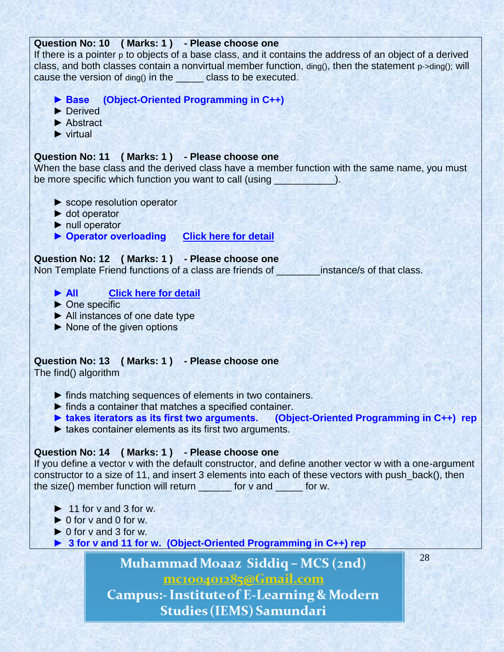## **Question No: 10 ( Marks: 1 ) - Please choose one**

If there is a pointer p to objects of a base class, and it contains the address of an object of a derived class, and both classes contain a nonvirtual member function, ding(), then the statement p->ding(); will cause the version of ding() in the \_\_\_\_\_ class to be executed.

- **► Base (Object-Oriented Programming in C++)**
- ► Derived
- ► Abstract
- ► virtual

# **Question No: 11 ( Marks: 1 ) - Please choose one**

When the base class and the derived class have a member function with the same name, you must be more specific which function you want to call (using  $\qquad \qquad$ ).

- ► scope resolution operator
- ► dot operator
- ► null operator
- ▶ Operator overloading **[Click here for detail](http://en.wikibooks.org/wiki/C++_Programming/Classes/Member_Functions)**

# **Question No: 12 ( Marks: 1 ) - Please choose one**

Non Template Friend functions of a class are friends of **which inferiors** instance/s of that class.

- **► All [Click here for detail](http://publib.boulder.ibm.com/infocenter/iadthelp/v7r5/index.jsp?topic=/com.ibm.etools.iseries.langref.doc/as400clr308.htm)**
- ► One specific
- ► All instances of one date type
- ► None of the given options

# **Question No: 13 ( Marks: 1 ) - Please choose one**

The find() algorithm

- ► finds matching sequences of elements in two containers.
- ► finds a container that matches a specified container.
- **► takes iterators as its first two arguments. (Object-Oriented Programming in C++) rep**
- ► takes container elements as its first two arguments.

# **Question No: 14 ( Marks: 1 ) - Please choose one**

If you define a vector v with the default constructor, and define another vector w with a one-argument constructor to a size of 11, and insert 3 elements into each of these vectors with push\_back(), then the size() member function will return for v and for w.

- $\blacktriangleright$  11 for y and 3 for w.
- $\triangleright$  0 for v and 0 for w.
- $\triangleright$  0 for v and 3 for w.
- **► 3 for v and 11 for w. (Object-Oriented Programming in C++) rep**

Muhammad Moaaz Siddiq - MCS (2nd) mc100401285@Gmail.com **Campus:- Institute of E-Learning & Modern** 

**Studies (IEMS) Samundari**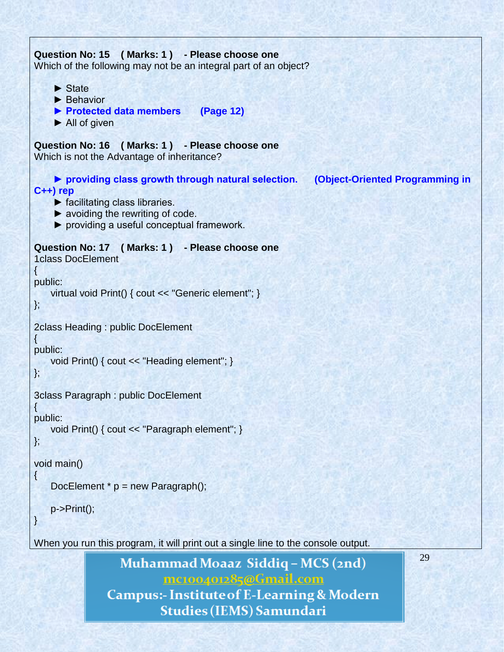```
29
Question No: 15 ( Marks: 1 ) - Please choose one
Which of the following may not be an integral part of an object?
     ► State
    ▶ Behavior
     ► Protected data members (Page 12)
     ► All of given
Question No: 16 ( Marks: 1 ) - Please choose one
Which is not the Advantage of inheritance?
     ► providing class growth through natural selection. (Object-Oriented Programming in 
C++) rep
    \blacktriangleright facilitating class libraries.
    \blacktriangleright avoiding the rewriting of code.
     ► providing a useful conceptual framework. 
Question No: 17 ( Marks: 1 ) - Please choose one
1class DocElement
\{public:
    virtual void Print() { cout << "Generic element"; }
};
2class Heading : public DocElement
\{public:
    void Print() { cout << "Heading element"; }
};
3class Paragraph : public DocElement
{
public:
    void Print() { cout << "Paragraph element"; }
};
void main()
{
   DocElement * p = new Paragraph();
    p->Print();
}
When you run this program, it will print out a single line to the console output.
```
Muhammad Moaaz Siddiq - MCS (2nd) mc100401285@Gmail.com **Campus:- Institute of E-Learning & Modern Studies (IEMS) Samundari**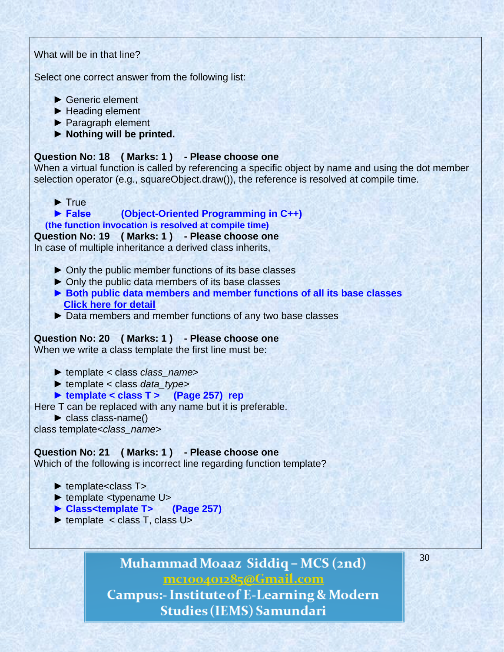# What will be in that line? Select one correct answer from the following list: ► Generic element ► Heading element ► Paragraph element **► Nothing will be printed. Question No: 18 ( Marks: 1 ) - Please choose one** When a virtual function is called by referencing a specific object by name and using the dot member selection operator (e.g., squareObject.draw()), the reference is resolved at compile time. ► True  **► False (Object-Oriented Programming in C++) (the function invocation is resolved at compile time) Question No: 19 ( Marks: 1 ) - Please choose one** In case of multiple inheritance a derived class inherits, ► Only the public member functions of its base classes ► Only the public data members of its base classes  **► Both public data members and member functions of all its base classes [Click here for detail](http://publib.boulder.ibm.com/infocenter/comphelp/v8v101/index.jsp?topic=/com.ibm.xlcpp8a.doc/language/ref/inher.htm)** ► Data members and member functions of any two base classes **Question No: 20 ( Marks: 1 ) - Please choose one** When we write a class template the first line must be: ► template < class *class\_name*> ► template < class *data\_type*>  **► template < class T > (Page 257) rep** Here T can be replaced with any name but it is preferable. ► class class-name() class template<*class\_name*> **Question No: 21 ( Marks: 1 ) - Please choose one** Which of the following is incorrect line regarding function template? ► template<class T ► template <typename U>  **► Class<template T> (Page 257)**  $\blacktriangleright$  template  $\lt$  class T, class U>

Muhammad Moaaz Siddiq - MCS (2nd) mc100401285@Gmail.com **Campus:- Institute of E-Learning & Modern** Studies (IEMS) Samundari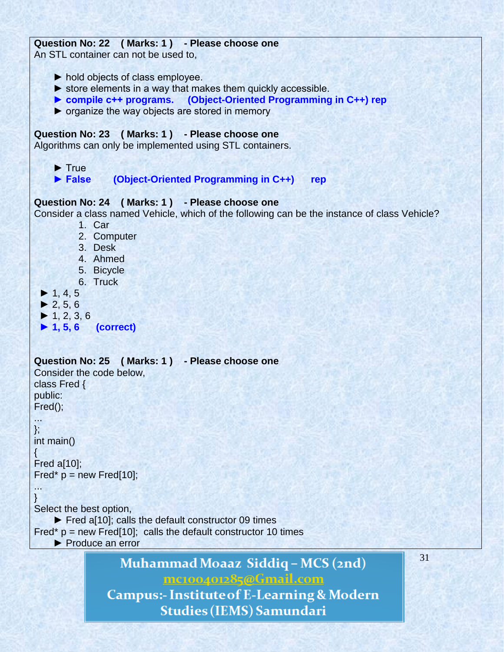# **Question No: 22 ( Marks: 1 ) - Please choose one**

An STL container can not be used to,

- ► hold objects of class employee.
- $\triangleright$  store elements in a way that makes them quickly accessible.
- **► compile c++ programs. (Object-Oriented Programming in C++) rep**
- $\triangleright$  organize the way objects are stored in memory

# **Question No: 23 ( Marks: 1 ) - Please choose one**

Algorithms can only be implemented using STL containers.

- ► True
- **► False (Object-Oriented Programming in C++) rep**

# **Question No: 24 ( Marks: 1 ) - Please choose one**

Consider a class named Vehicle, which of the following can be the instance of class Vehicle?

- 1. Car
- 2. Computer
- 3. Desk
- 4. Ahmed
- 5. Bicycle
- 6. Truck
- $\blacktriangleright$  1, 4, 5
- $\blacktriangleright$  2, 5, 6
- $\blacktriangleright$  1, 2, 3, 6
- **► 1, 5, 6 (correct)**

```
Question No: 25 ( Marks: 1 ) - Please choose one
Consider the code below,
class Fred {
public:
Fred();
...
};
int main()
{
Fred a[10];
Fred* p = new Fred[10];
...
}
Select the best option,
     ► Fred a[10]; calls the default constructor 09 times
Fred* p = new Fred[10]; calls the default constructor 10 times
     ► Produce an errorMuhammad Moaaz Siddiq - MCS (2nd)
                          mc100401285@Gmail.com
```
**Campus:- Institute of E-Learning & Modern Studies (IEMS) Samundari**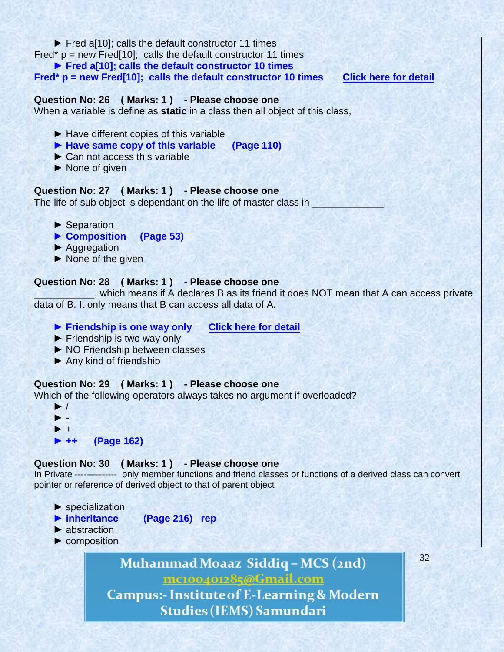| Fred a[10]; calls the default constructor 11 times<br>Fred* $p = new Fred[10]$ ; calls the default constructor 11 times<br>Fred a[10]; calls the default constructor 10 times<br>Fred* $p = new Fred[10]$ ; calls the default constructor 10 times<br><b>Click here for detail</b><br>Question No: 26 (Marks: 1) - Please choose one<br>When a variable is define as static in a class then all object of this class,<br>$\blacktriangleright$ Have different copies of this variable<br>• Have same copy of this variable (Page 110)<br>$\triangleright$ Can not access this variable<br>None of given<br>Question No: 27 (Marks: 1) - Please choose one<br>The life of sub object is dependant on the life of master class in<br>$\blacktriangleright$ Separation<br>Composition (Page 53)<br>▶ Aggregation<br>$\triangleright$ None of the given<br>Question No: 28 (Marks: 1) - Please choose one<br>, which means if A declares B as its friend it does NOT mean that A can access private<br>data of B. It only means that B can access all data of A.<br>Friendship is one way only Click here for detail<br>Friendship is two way only<br>▶ NO Friendship between classes<br>$\blacktriangleright$ Any kind of friendship<br>Question No: 29 (Marks: 1) - Please choose one<br>Which of the following operators always takes no argument if overloaded?<br>▶ /<br><b>(Page 162)</b><br>(Marks: 1) - Please choose one<br><b>Question No: 30</b><br>In Private -------------- only member functions and friend classes or functions of a derived class can convert<br>pointer or reference of derived object to that of parent object<br>$\blacktriangleright$ specialization<br>inheritance<br>(Page 216) rep<br>$\blacktriangleright$ abstraction<br>$\blacktriangleright$ composition<br>32 |  |
|-------------------------------------------------------------------------------------------------------------------------------------------------------------------------------------------------------------------------------------------------------------------------------------------------------------------------------------------------------------------------------------------------------------------------------------------------------------------------------------------------------------------------------------------------------------------------------------------------------------------------------------------------------------------------------------------------------------------------------------------------------------------------------------------------------------------------------------------------------------------------------------------------------------------------------------------------------------------------------------------------------------------------------------------------------------------------------------------------------------------------------------------------------------------------------------------------------------------------------------------------------------------------------------------------------------------------------------------------------------------------------------------------------------------------------------------------------------------------------------------------------------------------------------------------------------------------------------------------------------------------------------------------------------------------------------------------------------------------------------------------------------------------------------------------------|--|
|                                                                                                                                                                                                                                                                                                                                                                                                                                                                                                                                                                                                                                                                                                                                                                                                                                                                                                                                                                                                                                                                                                                                                                                                                                                                                                                                                                                                                                                                                                                                                                                                                                                                                                                                                                                                       |  |
|                                                                                                                                                                                                                                                                                                                                                                                                                                                                                                                                                                                                                                                                                                                                                                                                                                                                                                                                                                                                                                                                                                                                                                                                                                                                                                                                                                                                                                                                                                                                                                                                                                                                                                                                                                                                       |  |
|                                                                                                                                                                                                                                                                                                                                                                                                                                                                                                                                                                                                                                                                                                                                                                                                                                                                                                                                                                                                                                                                                                                                                                                                                                                                                                                                                                                                                                                                                                                                                                                                                                                                                                                                                                                                       |  |
|                                                                                                                                                                                                                                                                                                                                                                                                                                                                                                                                                                                                                                                                                                                                                                                                                                                                                                                                                                                                                                                                                                                                                                                                                                                                                                                                                                                                                                                                                                                                                                                                                                                                                                                                                                                                       |  |
|                                                                                                                                                                                                                                                                                                                                                                                                                                                                                                                                                                                                                                                                                                                                                                                                                                                                                                                                                                                                                                                                                                                                                                                                                                                                                                                                                                                                                                                                                                                                                                                                                                                                                                                                                                                                       |  |
|                                                                                                                                                                                                                                                                                                                                                                                                                                                                                                                                                                                                                                                                                                                                                                                                                                                                                                                                                                                                                                                                                                                                                                                                                                                                                                                                                                                                                                                                                                                                                                                                                                                                                                                                                                                                       |  |
|                                                                                                                                                                                                                                                                                                                                                                                                                                                                                                                                                                                                                                                                                                                                                                                                                                                                                                                                                                                                                                                                                                                                                                                                                                                                                                                                                                                                                                                                                                                                                                                                                                                                                                                                                                                                       |  |
|                                                                                                                                                                                                                                                                                                                                                                                                                                                                                                                                                                                                                                                                                                                                                                                                                                                                                                                                                                                                                                                                                                                                                                                                                                                                                                                                                                                                                                                                                                                                                                                                                                                                                                                                                                                                       |  |
|                                                                                                                                                                                                                                                                                                                                                                                                                                                                                                                                                                                                                                                                                                                                                                                                                                                                                                                                                                                                                                                                                                                                                                                                                                                                                                                                                                                                                                                                                                                                                                                                                                                                                                                                                                                                       |  |
|                                                                                                                                                                                                                                                                                                                                                                                                                                                                                                                                                                                                                                                                                                                                                                                                                                                                                                                                                                                                                                                                                                                                                                                                                                                                                                                                                                                                                                                                                                                                                                                                                                                                                                                                                                                                       |  |
|                                                                                                                                                                                                                                                                                                                                                                                                                                                                                                                                                                                                                                                                                                                                                                                                                                                                                                                                                                                                                                                                                                                                                                                                                                                                                                                                                                                                                                                                                                                                                                                                                                                                                                                                                                                                       |  |
|                                                                                                                                                                                                                                                                                                                                                                                                                                                                                                                                                                                                                                                                                                                                                                                                                                                                                                                                                                                                                                                                                                                                                                                                                                                                                                                                                                                                                                                                                                                                                                                                                                                                                                                                                                                                       |  |
|                                                                                                                                                                                                                                                                                                                                                                                                                                                                                                                                                                                                                                                                                                                                                                                                                                                                                                                                                                                                                                                                                                                                                                                                                                                                                                                                                                                                                                                                                                                                                                                                                                                                                                                                                                                                       |  |
|                                                                                                                                                                                                                                                                                                                                                                                                                                                                                                                                                                                                                                                                                                                                                                                                                                                                                                                                                                                                                                                                                                                                                                                                                                                                                                                                                                                                                                                                                                                                                                                                                                                                                                                                                                                                       |  |
|                                                                                                                                                                                                                                                                                                                                                                                                                                                                                                                                                                                                                                                                                                                                                                                                                                                                                                                                                                                                                                                                                                                                                                                                                                                                                                                                                                                                                                                                                                                                                                                                                                                                                                                                                                                                       |  |

Muhammad Moaaz Siddiq - MCS (2nd) mc100401285@Gmail.com **Campus:- Institute of E-Learning & Modern** Studies (IEMS) Samundari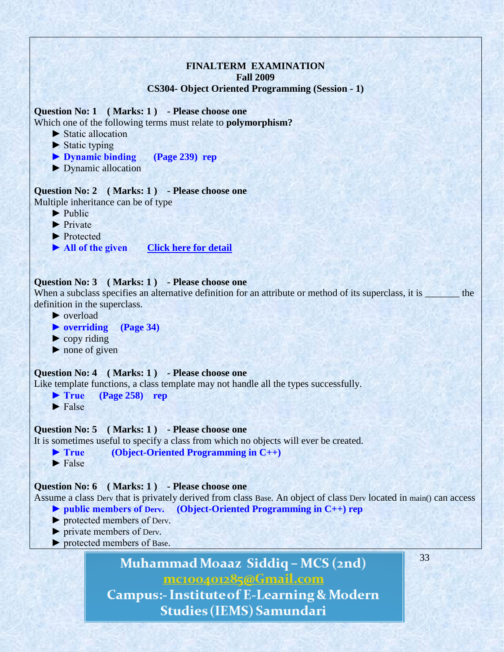# **FINALTERM EXAMINATION Fall 2009 CS304- Object Oriented Programming (Session - 1)**

**Question No: 1 ( Marks: 1 ) - Please choose one**

Which one of the following terms must relate to **polymorphism?**

- ► Static allocation
- $\blacktriangleright$  Static typing
- **► Dynamic binding (Page 239) rep**
- ► Dynamic allocation

**Question No: 2 ( Marks: 1 ) - Please choose one** Multiple inheritance can be of type

- ► Public
- ► Private
- ► Protected
- ► All of the given **[Click here](http://www.tenouk.com/Module16.html)** for detail

#### **Question No: 3 ( Marks: 1 ) - Please choose one**

When a subclass specifies an alternative definition for an attribute or method of its superclass, it is \_\_\_\_\_\_\_ the definition in the superclass.

- ► overload
- **► overriding (Page 34)**
- $\blacktriangleright$  copy riding
- $\triangleright$  none of given

#### **Question No: 4 ( Marks: 1 ) - Please choose one**

Like template functions, a class template may not handle all the types successfully.

**► True (Page 258) rep**

 $\blacktriangleright$  False

#### **Question No: 5 ( Marks: 1 ) - Please choose one**

It is sometimes useful to specify a class from which no objects will ever be created.

- **► True (Object-Oriented Programming in C++)**
- $\blacktriangleright$  False

#### **Question No: 6 ( Marks: 1 ) - Please choose one**

Assume a class Derv that is privately derived from class Base. An object of class Derv located in main() can access  **► public members of Derv. (Object-Oriented Programming in C++) rep**

- ► protected members of Derv.
- ► private members of Derv.
- ► protected members of Base.

Muhammad Moaaz Siddiq - MCS (2nd) mc100401285@Gmail.com

**Campus:- Institute of E-Learning & Modern Studies (IEMS) Samundari**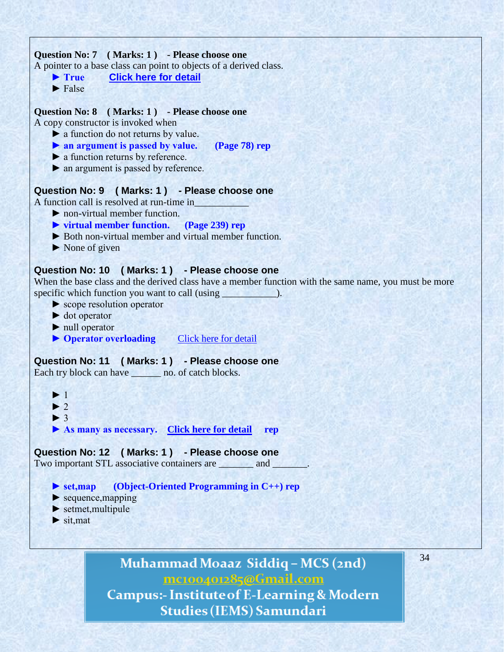

Muhammad Moaaz Siddiq - MCS (2nd) mc100401285@Gmail.com **Campus:- Institute of E-Learning & Modern Studies (IEMS) Samundari**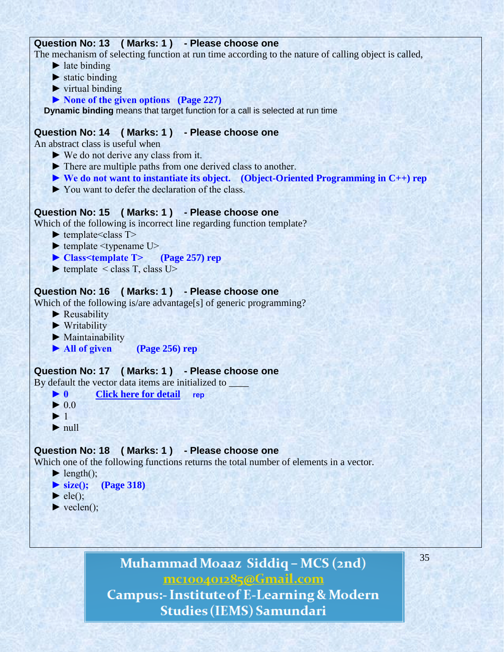# **Question No: 13 ( Marks: 1 ) - Please choose one**

The mechanism of selecting function at run time according to the nature of calling object is called,

- $\blacktriangleright$  late binding
- $\blacktriangleright$  static binding
- $\blacktriangleright$  virtual binding
- **► None of the given options (Page 227)**

**Dynamic binding** means that target function for a call is selected at run time

# **Question No: 14 ( Marks: 1 ) - Please choose one**

An abstract class is useful when

- ► We do not derive any class from it.
- ► There are multiple paths from one derived class to another.
- **► We do not want to instantiate its object. (Object-Oriented Programming in C++) rep**
- ► You want to defer the declaration of the class.

# **Question No: 15 ( Marks: 1 ) - Please choose one**

Which of the following is incorrect line regarding function template?

- $\blacktriangleright$  template <class T >
- $\blacktriangleright$  template  $\lt$ typename U $>$
- **► Class<template T> (Page 257) rep**
- $\blacktriangleright$  template  $\lt$  class T, class U $>$

# **Question No: 16 ( Marks: 1 ) - Please choose one**

Which of the following is/are advantage[s] of generic programming?

- ► Reusability
- ► Writability
- ► Maintainability
- **► All of given (Page 256) rep**

# **Question No: 17 ( Marks: 1 ) - Please choose one**

By default the vector data items are initialized to \_\_\_\_\_\_

- **► 0 [Click here for detail](http://www.dcs.bbk.ac.uk/~roger/cpp/week6.htm) rep**
- $\blacktriangleright$  0.0
- $\blacktriangleright$  1
- $\blacktriangleright$  null

# **Question No: 18 ( Marks: 1 ) - Please choose one**

Which one of the following functions returns the total number of elements in a vector.

- $\blacktriangleright$  length();
- **► size(); (Page 318)**
- $\blacktriangleright$  ele();
- $\blacktriangleright$  veclen();

Muhammad Moaaz Siddiq - MCS (2nd) mc100401285@Gmail.com

**Campus:- Institute of E-Learning & Modern** Studies (IEMS) Samundari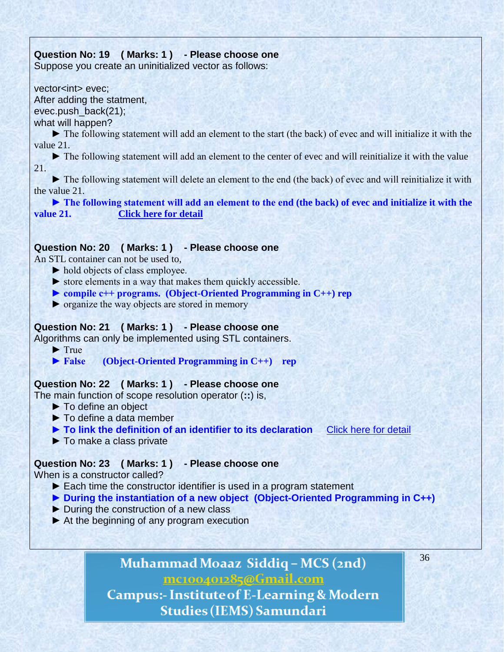# **Question No: 19 ( Marks: 1 ) - Please choose one**

Suppose you create an uninitialized vector as follows:

vector<int> evec: After adding the statment,

evec.push\_back(21);

what will happen?

 ► The following statement will add an element to the start (the back) of evec and will initialize it with the value 21.

 ► The following statement will add an element to the center of evec and will reinitialize it with the value 21.

 ► The following statement will delete an element to the end (the back) of evec and will reinitialize it with the value 21.

 **► The following statement will add an element to the end (the back) of evec and initialize it with the value 21. [Click here for detail](http://www.dcs.bbk.ac.uk/~roger/cpp/week6.htm)**

# **Question No: 20 ( Marks: 1 ) - Please choose one**

An STL container can not be used to,

- ► hold objects of class employee.
- $\triangleright$  store elements in a way that makes them quickly accessible.
- **► compile c++ programs. (Object-Oriented Programming in C++) rep**
- ► organize the way objects are stored in memory

# **Question No: 21 ( Marks: 1 ) - Please choose one**

Algorithms can only be implemented using STL containers.

► True

 **► False (Object-Oriented Programming in C++) rep**

# **Question No: 22 ( Marks: 1 ) - Please choose one**

The main function of scope resolution operator (**::**) is,

- ► To define an object
- ► To define a data member
- **► To link the definition of an identifier to its declaration** [Click here for detail](http://en.wikipedia.org/wiki/Scope_resolution_operator)
- ► To make a class private

# **Question No: 23 ( Marks: 1 ) - Please choose one**

When is a constructor called?

- ► Each time the constructor identifier is used in a program statement
- **► During the instantiation of a new object (Object-Oriented Programming in C++)**
- ► During the construction of a new class
- $\blacktriangleright$  At the beginning of any program execution

# Muhammad Moaaz Siddiq - MCS (2nd) mc100401285@Gmail.com

36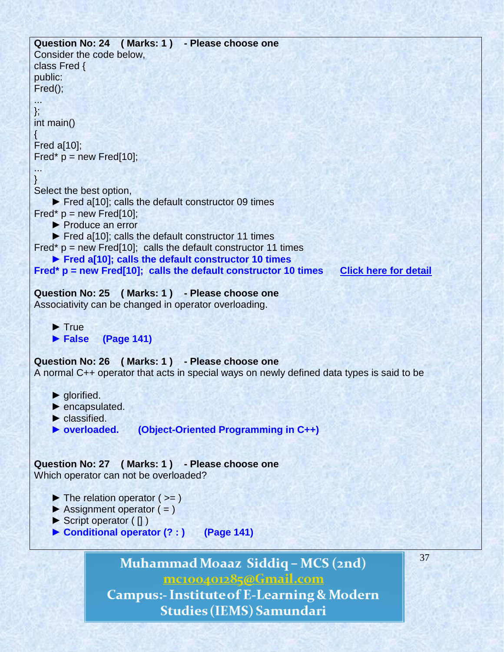

mc100401285@Gmail.com **Campus:- Institute of E-Learning & Modern** 

**Studies (IEMS) Samundari**